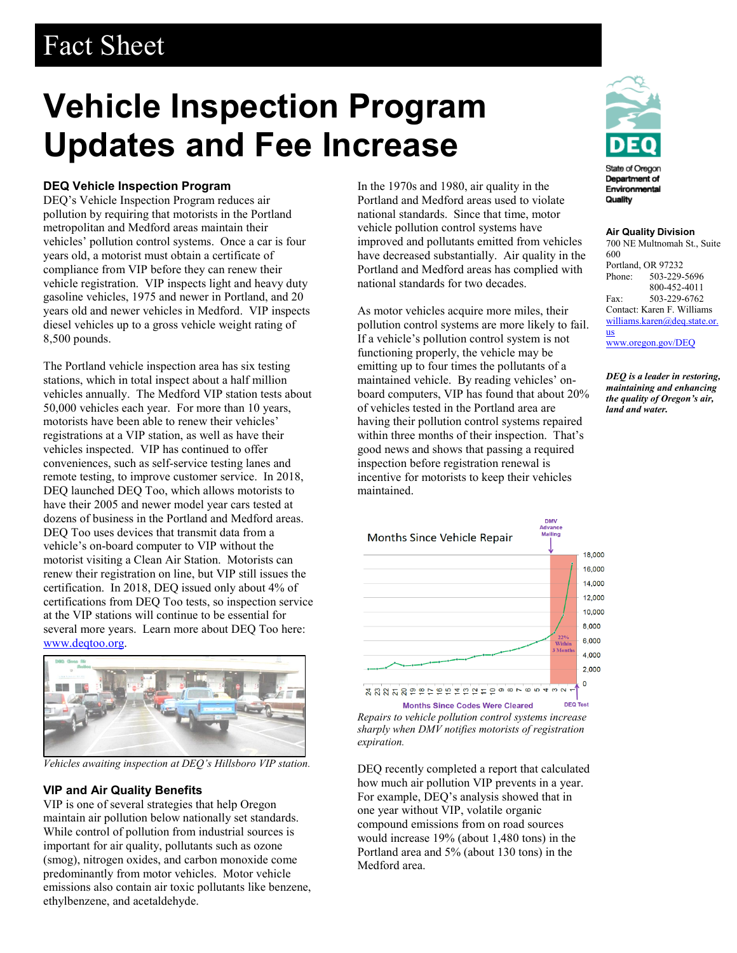# Fact Sheet

# **Vehicle Inspection Program Updates and Fee Increase**

### **DEQ Vehicle Inspection Program**

DEQ's Vehicle Inspection Program reduces air pollution by requiring that motorists in the Portland metropolitan and Medford areas maintain their vehicles' pollution control systems. Once a car is four years old, a motorist must obtain a certificate of compliance from VIP before they can renew their vehicle registration. VIP inspects light and heavy duty gasoline vehicles, 1975 and newer in Portland, and 20 years old and newer vehicles in Medford. VIP inspects diesel vehicles up to a gross vehicle weight rating of 8,500 pounds.

The Portland vehicle inspection area has six testing stations, which in total inspect about a half million vehicles annually. The Medford VIP station tests about 50,000 vehicles each year. For more than 10 years, motorists have been able to renew their vehicles' registrations at a VIP station, as well as have their vehicles inspected. VIP has continued to offer conveniences, such as self-service testing lanes and remote testing, to improve customer service. In 2018, DEQ launched DEQ Too, which allows motorists to have their 2005 and newer model year cars tested at dozens of business in the Portland and Medford areas. DEQ Too uses devices that transmit data from a vehicle's on-board computer to VIP without the motorist visiting a Clean Air Station. Motorists can renew their registration on line, but VIP still issues the certification. In 2018, DEQ issued only about 4% of certifications from DEQ Too tests, so inspection service at the VIP stations will continue to be essential for several more years. Learn more about DEQ Too here: [www.deqtoo.org.](http://www.deqtoo.org/)



*Vehicles awaiting inspection at DEQ's Hillsboro VIP station.*

## **VIP and Air Quality Benefits**

VIP is one of several strategies that help Oregon maintain air pollution below nationally set standards. While control of pollution from industrial sources is important for air quality, pollutants such as ozone (smog), nitrogen oxides, and carbon monoxide come predominantly from motor vehicles. Motor vehicle emissions also contain air toxic pollutants like benzene, ethylbenzene, and acetaldehyde.

In the 1970s and 1980, air quality in the Portland and Medford areas used to violate national standards. Since that time, motor vehicle pollution control systems have improved and pollutants emitted from vehicles have decreased substantially. Air quality in the Portland and Medford areas has complied with national standards for two decades.

As motor vehicles acquire more miles, their pollution control systems are more likely to fail. If a vehicle's pollution control system is not functioning properly, the vehicle may be emitting up to four times the pollutants of a maintained vehicle. By reading vehicles' onboard computers, VIP has found that about 20% of vehicles tested in the Portland area are having their pollution control systems repaired within three months of their inspection. That's good news and shows that passing a required inspection before registration renewal is incentive for motorists to keep their vehicles maintained.



*Repairs to vehicle pollution control systems increase sharply when DMV notifies motorists of registration expiration.*

DEQ recently completed a report that calculated how much air pollution VIP prevents in a year. For example, DEQ's analysis showed that in one year without VIP, volatile organic compound emissions from on road sources would increase 19% (about 1,480 tons) in the Portland area and 5% (about 130 tons) in the Medford area.



Quality

#### **Air Quality Division**

700 NE Multnomah St., Suite 600 Portland, OR 97232<br>Phone: 503-229-Phone: 503-229-5696 800-452-4011 Fax: 503-229-6762 Contact: Karen F. Williams [williams.karen@deq.state.or.](mailto:williams.karen@deq.state.or.us) [us](mailto:williams.karen@deq.state.or.us) [www.oregon.gov/DEQ](file://deq001/templates/General/www.oregon.gov/DEQ)

*DEQ is a leader in restoring, maintaining and enhancing the quality of Oregon's air, land and water.*